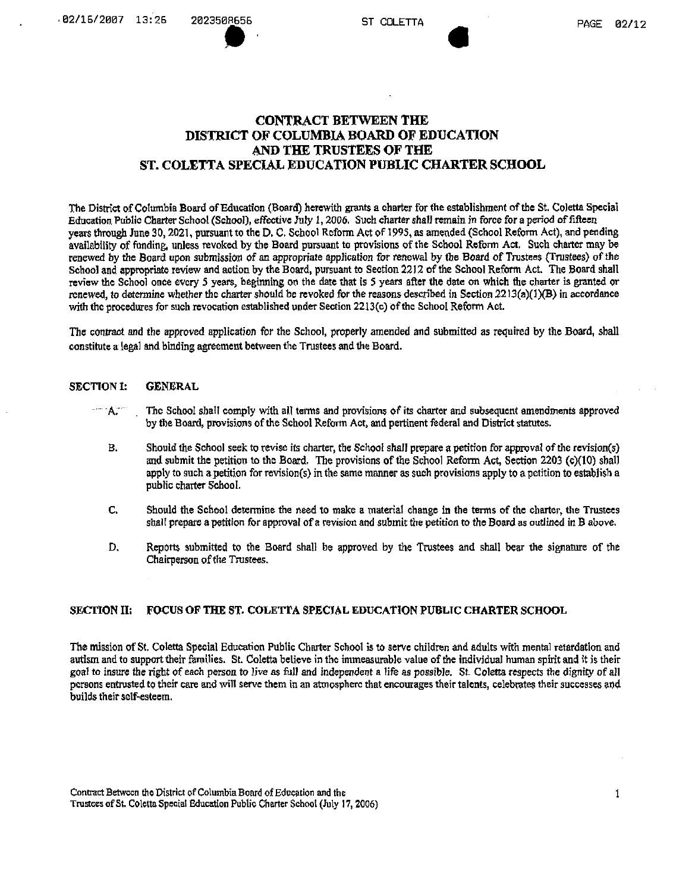# **CONTRACT BETWEEN THE DISTRICT OF COLUMBIA BOARD OF EDUCATION AND THE TRUSTEES OF THE ST. COLETTA SPECIAL EDUCATION PUBLIC CHARTER SCHOOL**

The District of Columbia Board of Education (Board) herewith grants a charter for the establishment of the St. Coletta Special Education Public Charter School (School), effective July 1,*2006.* Such charter shall remain, in force for a period of fifteen years through June 30,2021, pursuant to the D. C. School Reform Act of 1995, as amended (School Reform Act), and pending availability of funding, unless revoked by the Board pursuant to provisions of the School Reform Act. Such charter may be renewed by the Board upon submission of an appropriate application for renewal by the Board of Trustees (Trustees) of the School and appropriate review and action by the Board, pursuant to Section 2212 of the School Reform Act. The Board shall review the School once every 5 years, beginning on the date that is 5 years after the date on which the charter is granted or renewed, to determine whether the charter should be revoked for the reasons described in Section  $2213(a)(1)(B)$  in accordance with the procedures for such revocation established under Section 2213(c) of the School Reform Act.

The contract and the approved application for the School, properly amended and submitted as required by the Board, shall constitute a legal and binding agreement between the Trustees and the Board.

# SECTION 1: GENERAL

- A. The School shall comply with all terms and provisions of its charter and subsequent amendments approved by the Board, provisions of the School Reform Act, and pertinent federal and District statutes.
- B. Should the School seek to revise its charter, the School shall prepare a petition for approval of the revision(s) and submit the petition to the Board. The provisions of the School Reform Act, Section 2203 (c)(10) shall apply to such a petition for revision(s) in the same manner as such provisions apply to a petition to establish a public charter School.
- C. Should the School determine the need to make a materia! change in the terms of the charter, the Trustees shall prepare a petition for approval of a revision and submit the petition to the Board as outlined in B above.
- D. Reports submitted to the Board shall be approved by the Trustees and shall bear the signature of the Chairperson of the Trustees.

# SECTION II: FOCUS OF THE ST- COLETTA SPECIAL EDUCATION PUBLIC CHARTER SCHOOL

The mission of St. Coletta Special Education Public Charter School is to serve children and adults with mental retardation and autism and to support their families. St. Coletta believe in the immeasurable value of the individual human spirit and it is their goal to insure the right of each person to live as fiill and independent a life as possible. St. Coletta respects the dignity of all persons entrusted to their care and will serve them In an atmosphere that encourages their talents, celebrates their successes and builds their self-esteem.

Contract Between the District of Columbia Board of Education and the Trustees of St. Coletta Special Education Public Charter School (July 17, 2006)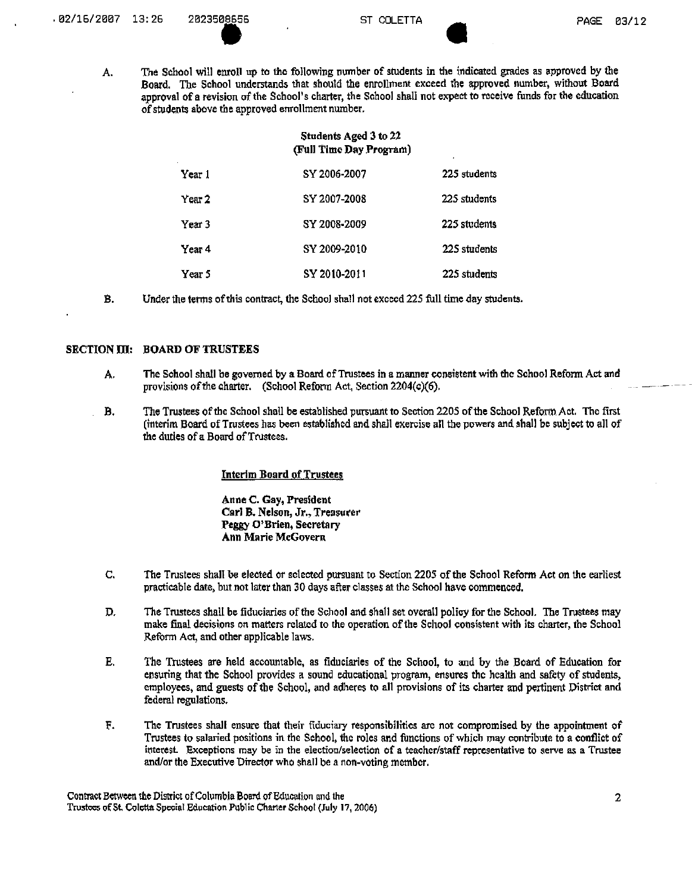A, The School will enroll up to the following number of students in dte indicated grades as approved by the Board. The School understands that should the enrollment exceed the approved number, without Board approval of a revision of the School's charter, the School shall not expect to rcceive funds for the education of students above the approved enrollment number.

| Students Aged 3 to 22<br>(Full Time Day Program) |              |              |
|--------------------------------------------------|--------------|--------------|
| Year 1                                           | SY 2006-2007 | 225 students |
| Year 2                                           | SY 2007-2008 | 225 students |
| Year 3                                           | SY 2008-2009 | 225 students |
| Year 4                                           | SY 2009-2010 | 225 students |
| Year 5                                           | SY 2010-2011 | 225 students |

B. Under the terms of this contract, the School shall not excccd 225 full time day students.

# SECTION III: BOARD OF TRUSTEES

- A. The School shall be governed by a Board of Trustees in a manner consistent with the School Reform Act and provisions of the charter. (School Reform Act, Section 2204(c)(6).
- B. The Trustees ofthc School shall be established pursuant to Section 2205 ofthe School Reform. Act, The first (interim Board of Trustees has been established and shall exercise all the powers and shall be subject to all of the duties of a Board of Trustees.

#### Interim Board of Trustees

Anne C. Gay, President Carl B. Nelson, Jr., Treasurer Peggy O'Brien, Secretary Ann Marie McGovem

- C. The Trustees shall be elected or selected pursuant to Section 2205 ofthe School Reform Act on the earliest practicable date, but not later than 30 days after classes at the School have commenced.
- D. The Trustees shall be fiduciaries of the School and shall set overall policy for the School. The Trustees may make final decisions on matters related to the operation of the School consistent with its chartcr, the School .Reform Act, and other applicable laws.
- E. The Trustees are held accountable, as fiduciaries of the School, to and by the Board of Education for ensuring that the School provides a sound educational program, ensures the health and safety of students, employees, and guests of the School, and adheres to all provisions of its charter and pertinent District and federal regulations.
- F. The Trustees shall ensure that their fiduciary responsibilities arc not compromised by the appointment of Trustees to salaried positions in the School, the roles and functions of which may contribute to a conflict of interest- Exceptions may be in the election/selection of a tcachcr/staff representative to serve as a Trustee and/or the Executive Director who shall be a non-voting member.

Contract Between the District of Columbia Board of Education and the Trustees of St. Coletta Special Education Public Charter School (July 17, 2006)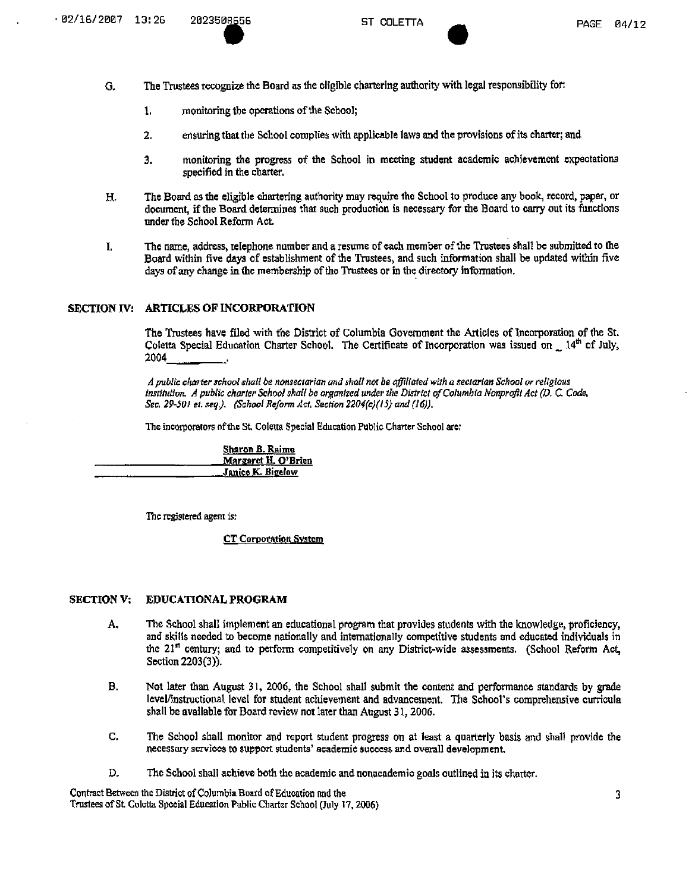- G, The Trustees recognize the Board as the eligible chartering authority with legal responsibility for:
	- 1. **I.** monitoring the operations of the School;
	- *2.* ensuring that the School complies with applicable laws and the provisions of its charter; and
	- 3. monitoring the progress of the School in meeting student academic achievement expectations specified in the charter.
- H. The Board as the eligible chartering authority may require the School to produce any book, record, paper, or document, if the Board determines that such production is necessary for the Board to carry out its functions under the School Reform Act
- The name, address, telephone number and a resume of each member of the Trustees shall be submitted to the I. Board within five days of establishment of the Trustees, and such information shall be updated within five days of any change in the membership of the Trustees or in the directory information.

# SECTION IV: ARTICLES OF INCORPORATION

The Trustees have filed with the District of Columbia Government the Articles of Incorporation of the St. Coletta Special Education Charter School. The Certificate of Incorporation was issued on 14<sup>th</sup> of July, 2004 .

A public charter school shall be nonsectarian and shall not be affiliated with a sectarian School or religious *institution. A public charter School shall be organized under the District of Columbia Nonprofit Act (D, C. Code, Sec. 29-501 et. seq.). (School Reform Act, Section 2204(c)(15) and (16)).* 

The incorporators of the St. Coletta Special Education Public Charter School are:

Sharon B. Raimo Margaret H. O'Brien Janice K. Bigelow

The registered agent is:

CT Corporation System

#### SECTION V: EDUCATIONAL PROGRAM

- A. The School shall implement an educational program that provides students with the knowledge, proficiency, and skills needed to become nationally and internationally competitive students and educated individuals in the 21" century; and to perform competitively on any District-wide assessments. (School Reform Act, Section 2203(3)).
- B. Not later than August 31, 2006, the School shall submit the content and performance standards by grade level/instructional level for student achievement and advancement. The School's comprehensive curricula shall be available for Board review not later than August 31,2006.
- C. The School shall monitor and report student progress on at least a quarterly basis and shall provide the necessary services to support students' academic success and overall development.
- D. The School shall achieve both the academic and nonacademic goals outlined in its charter.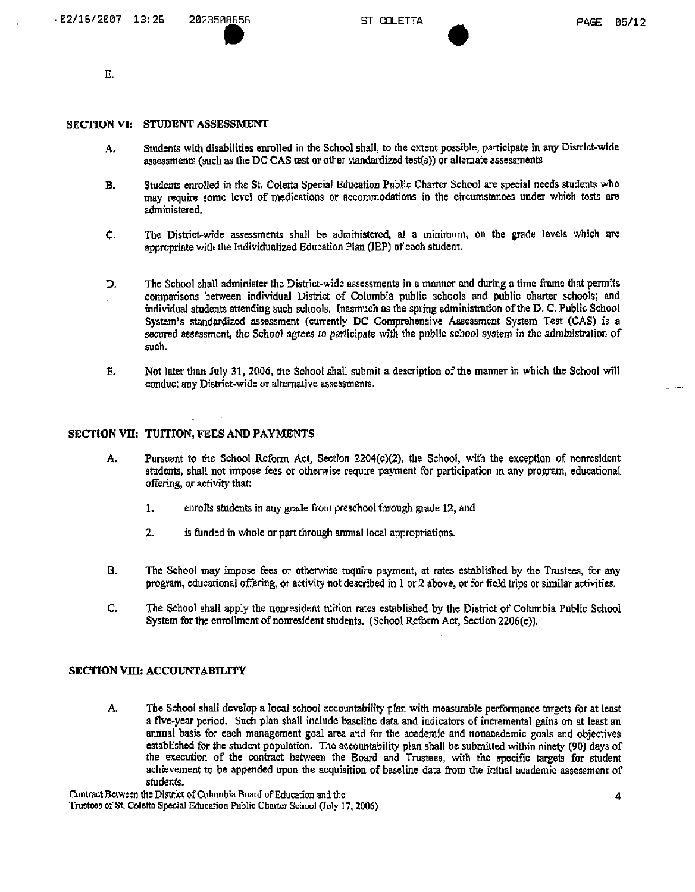E.

#### SECTION VI: STUDENT ASSESSMENT

- A. Students with disabilities enrolled in the School shall, to the extent possible, participate in any District-wide assessments (such as the DC CAS test or other standardized test(5)) or alternate assessments
- B. Students enrolled in the St. Coletta Special Education Public Charter School are special needs students who may require some level of medications or accommodations in the circumstances under which tests are administered.
- C. The District-wide assessments shall be administered, at a minimum, on the grade levels which are appropriate with the Individualized Education Plan (IBP) of each student,
- D. The School shall administer the District-wide assessments in a manner and during a time frame that permits comparisons between individual District of Columbia public schools and public charter schools; and individual students attending such schools. Inasmuch as the spring administration of the D. C. Public School System's standardized assessment (currently DC Comprehensive Assessment System Test (CAS) is a secured assessment, the School agrees to participate with the public school system in the administration of such.
- E. Not later than July 31, 2006, the School shall submit a description of the manner in which the School will conduct any District-wide or alternative assessments.

#### SECTION VII: TUITION, FEES AND PAYMENTS

- A. Pursuant to the School Reform Act, Section 2204(c)(2), the School, with the exception of nonresident students, shall not impose fees or otherwise require payment for participation in any program, educational offering, or activity that:
	- 1. enrolls students in any grade from preschool through grade 12; and
	- 2. is funded in whole or part through annual local appropriations.
- B. The School may impose fees or otherwise require payment, at rates established by the Trustees, for any program, educational offering, or activity not described in 1 or 2 above, or for field trips or similar activities.
- C. The School shall apply the nonresident tuition rates established by the District of Columbia Public School System for the enrollment of nonresident students. (School Reform Act, Section 2206(e)).

# SECTION VIII: ACCOUNTABILITY

A. The School shall develop a local school accountability plan with measurable performance targets for at least a five-year period. Such plan shall include baseline data and indicators of incremental gains on at least an annual basis for each management goal area and for the academic and nonacademic goals and objectives established for the student population. The accountability plan shall be submitted within ninety (90) days of the execution of the contract between the Board and Trustees, with the specific targets for student achievement to be appended upon the acquisition of baseline data from the initial academic assessment of students.<br>Contract Between the District of Columbia Board of Education and the

Trustees of St. Coletta Special Education Public Charter School (July 17, 2006)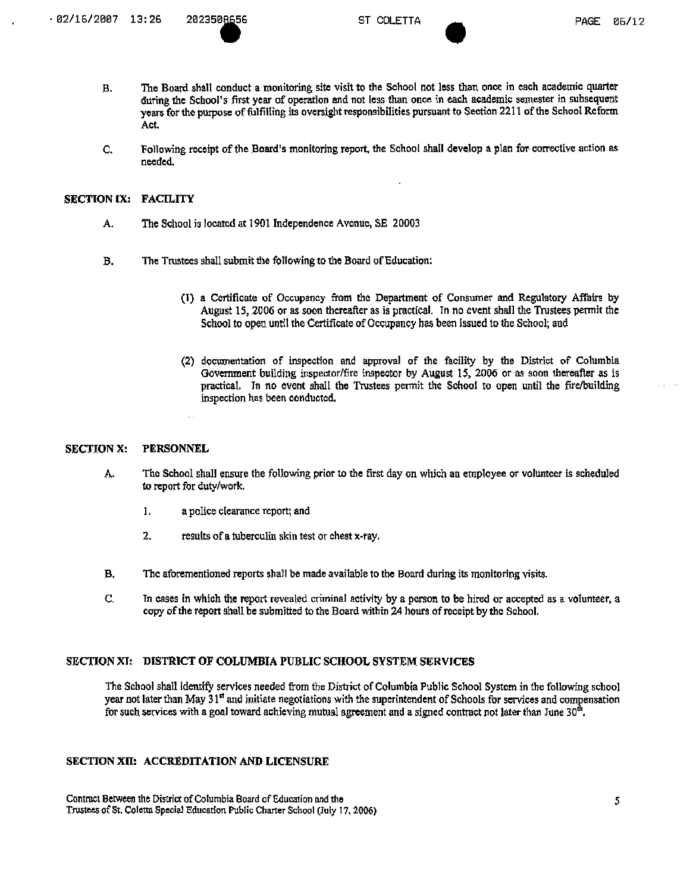- B. The Board shall conduct a monitoring site visit to the School not less than once in each academic quarter during the School's first year of operation and not less than once in cach academic semester in subsequent years for the purpose of fulfilling its oversight responsibilities pursuant to Section 2211 of the School Reform Act.
- C. Following receipt of the Board's monitoring report, the School shall develop a plan for corrective action as needed.

#### SECTION IX: FACILITY

- A. The School is locatcd at 1901 Independence Avenue, SE 20003
- B. The Trustees shall submit the following to the Board of Education:
	- (1) a Certificate of Occupancy from the Department of Consumer and Regulatory Afiairs by August 15,2006 or as soon thereafter as is practical. In no event shall the Trustees permit the School to open, until the Certificate of Occupancy has been issued to the School; and
	- (2) documentation of inspection and approval of the facility by the District of Columbia Government building inspector/fire inspector by August 15, 2006 or as soon thereafter as is practical. In no event shall the Trustees permit the School to open until the fire/building inspection has been conducted.

#### SECTION X: PERSONNEL

- A, The School shall ensure the following prior to the first day on which an employee or volunteer is scheduled to report for duty/work.
	- 1. a police clearance report; and
	- 2. results of a tuberculin skin test or chest  $x$ -ray.
- B, The aforementioned reports shall be made available to the Board during its monitoring visits.
- C, Tn cases in which the report revealed criminal activity by a person to be hired or accepted as a volunteer, a copy of the report shall be submitted to the Board within 24 hours of receipt by the School.

# SECTION XT: DISTRICT OF COLUMBIA PUBLIC SCHOOL SYSTEM SERVICES

The School shall identify services needed from the District of Columbia Public School System in the following school year not later than May 31'' and initiate negotiations with the superintendent of Schools for services and compensation for such services with a goal toward achieving mutual agreement and a signed contract not later than June  $30<sup>th</sup>$ .

#### SECTION XII: ACCREDITATION AND LICENSURE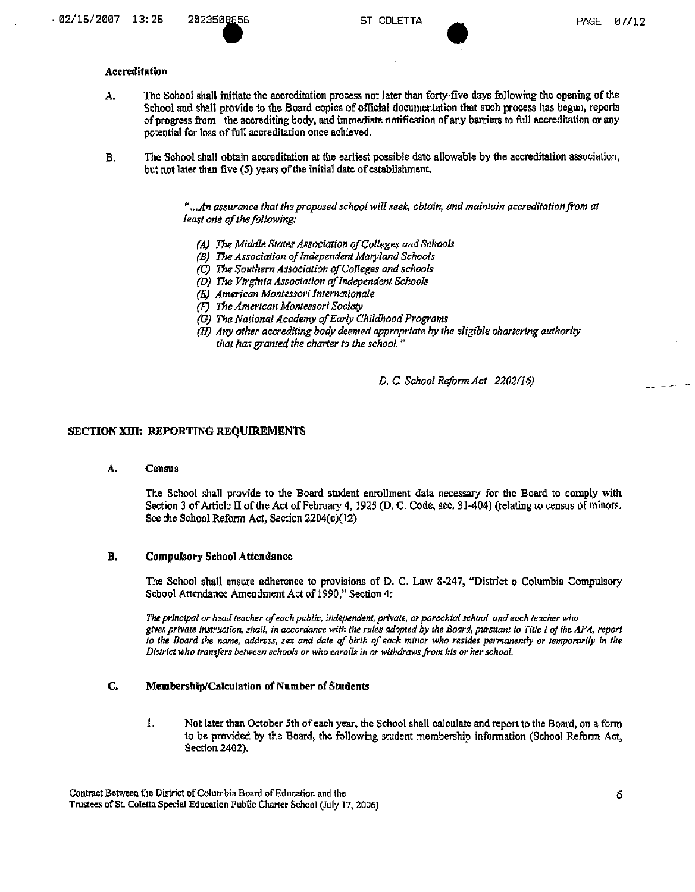# Accreditation

- A. The School shall initiate the accreditation process not later than forty-five days following the opening of the School and shall provide to the Board copies of official documentation that such process has begun, reports of progress from the accrediting body, and immediate notification of any barriers to full accreditation or any potential for loss of full accreditation once achieved.
- B, The School shall obtain accreditation at the earliest possible date allowable by the accreditation association, but not later than five (5) years of the initial date of establishment

<sup>".</sup>...An assurance that the proposed school will seek, obtain, and maintain accreditation from at *least one of the following:* 

- *(A) The Middle States Association of Colleges and Schools*
- *(B) The Association of Independent Maryland Schools*
- *(C) The Southern Association of Colleges and schools*
- *(D) The Virginia Association of Independent Schools*
- *(E) American Montessori Internationale*
- *(F) The American Montessori Society*
- *(G) The National Academy of Early Childhood Programs*
- *(HJ Any other accrediting body deemed appropriate by the eligible chartering authority that has granted the charter to the school."*

*D. C. School Reform Act 2202(16)* 

# **SECTION XIII: REPORTING REQUIREMENTS**

A. Census

The School shall provide to the Board student enrollment data necessary for the Board to comply with Section 3 of Article II of the Act of February 4, 1925 (D. C. Code, sec. 31-404) (relating to census of minors. See the School Reform Act, Section 2204(c)(12)

#### B. Compulsory School Attendance

The School shall ensure adherence to provisions of D. C. Law 8-247, "District o Columbia Compulsory School Attendance Amendment Act of 1990," Section 4:

*The principal or head teacher of each public, independent, private, or parochial school, and each teacher who gives private instruction, shall, in accordance with the rules adopted by the Board, pursuant to Title I of the APA, report to the Board the name, address, sex and date of birth of each minor who resides permanently or temporarily in the*<br>District who transfers between schools or who enrolls in or withdraws from his or her school.

# C. Membership/Calculation of Number of Students

1. Not later than October 5th of each year, the School shall calculate and report to the Board, on a form to be provided by the Board, the following student membership information (School Reform Act, Section 2402).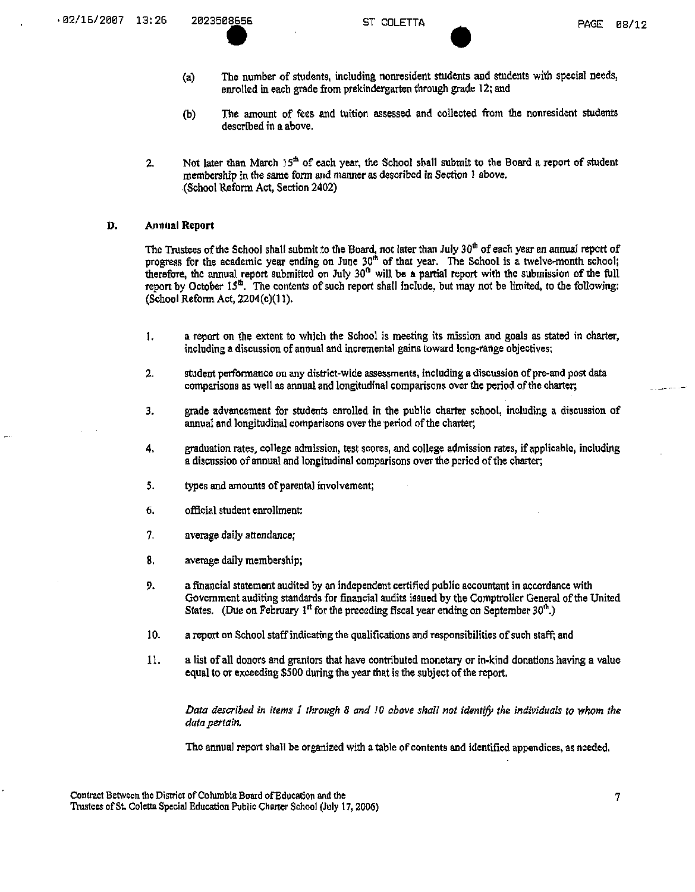- (a) The number of students, including nonresident students and students with special needs, enrolled in each grade ftom prekindergarten through grade 12; and
- (b) The amount of fees and tuition assessed and collected from the nonresident students described in a above.
- 2. Not later than March  $15<sup>th</sup>$  of each year, the School shall submit to the Board a report of student membership in the same form and manner as described in Section 1 above. (School Reform Act, Section 2402)

## D. Annual Report

The Trustees of the School shall submit to the Board, not later than July 30<sup>th</sup> of each year an annual report of progress for the academic year ending on June 30<sup>th</sup> of that year. The School is a twelve-month school; therefore, the annual report submitted on July 30<sup>0</sup> will be a partial report with the submission of the full report by October 15<sup>th</sup>. The contents of such report shall include, but may not be limited, to the following: (School Reform Act, 2204(c)(l 1).

- 1. a report on the extent to which the School is meeting its mission and goals as stated in charter, including a discussion of annual and incremental gains toward long-range objectives;
- 2. student performance on any district-wide assessments, inciuding a discussion of pre-and post data comparisons as well as annual and longitudinal comparisons over the period of the charter;
- 3. grade advancement for students enrolled in the public charter school, including a discussion of annual and longitudinal comparisons over the period of the charter;
- 4. graduation rates, college admission, test scores, and college admission rates, if applicable, including a discussion of annual and longitudinal comparisons over the period of the charter,
- 5. types and amounts of parental involvement;
- 6. official student enrollment;
- 7. average daily attendance;
- 8. average daily membership;
- 9. a financial statement audited by an independent certified public accountant in accordance with Government auditing standards for financial audits issued by the Comptroller General of die United States. (Due on February 1<sup>st</sup> for the preceding fiscal year ending on September 30<sup>th</sup>.)
- 10. a report on School staff indicating the qualifications and responsibilities of such staff; and
- 11. a list of all donors and grantors that have contributed monetary or in-kind donations having a value equal to or exceeding \$500 during the year that is the subject of the report.

*Data described in items 1 through 8 and 10 above shall not identify the individuals to whom the data pertain.* 

The annual report shall be organized with atable of contents and identified appendices, as needed.

Contract Between the District of Columbia Board of Education and the Trustees of St. Coletta Special Education Public Charter School (July 17, 2006)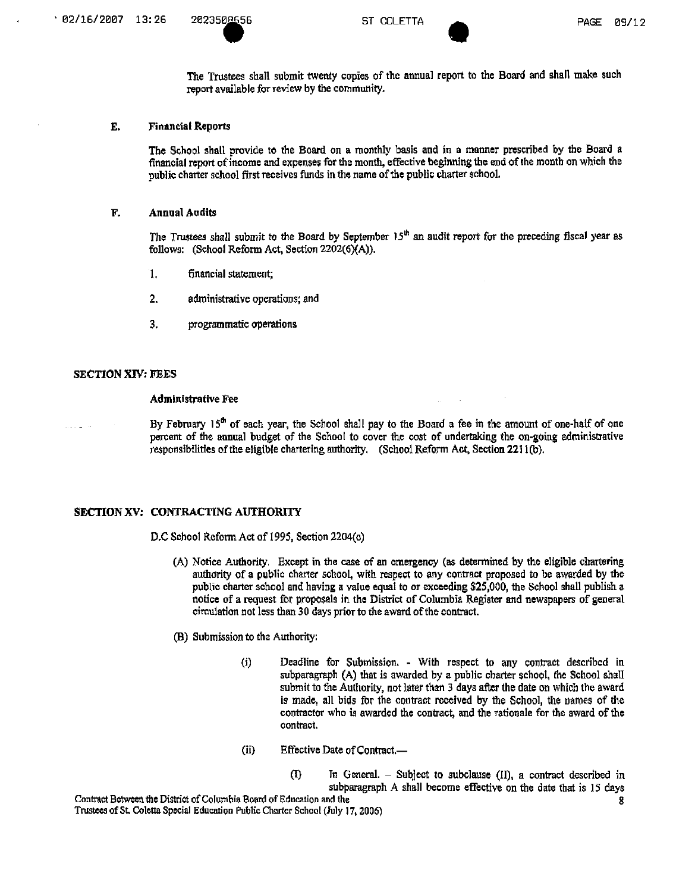The Trustees shall submit twenty copies of the annual report to the Board and shall make such report available for review by the community,

#### E. Financial Reports

The School shall provide to the Board on a monthly basis and in a manner prescribed by the Board a financial report of income and expenses for the month, effective beginning the end of the month on which the public charter school first receives fimds in the name of the public charter school.

#### F. Annual Audits

The Trustees shall submit to the Board by September 15<sup>th</sup> an audit report for the preceding fiscal year as follows: (School Reform Act, Section  $2202(6)(A)$ ).

- 1. financial statement;
- 2. administrative operations; and
- 3. programmatic operations

# SECTION XIV; FEES

#### Administrative Fee

By February  $15<sup>th</sup>$  of each year, the School shall pay to the Board a fee in the amount of one-half of one percent of the annual budget of the School to cover the cost of undertaking the on-going administrative responsibilities of the eligible chartering authority. (School Reform Act, Section 2211(b).

# SECTION XV: CONTRACTING AUTHORITY

D.C School Reform Act of 1995, Section 2204(c)

- (A) Notice Authority. Except in the case of an emergency (as determined by the eligible chartering aulhority of a public charter school, with respect to any contract proposed to be awarded by the public charter school and having a value equal to or exceeding \$25,000, the School shall publish a notice of a request for proposals in the District of Columbia Register and newspapers of general circulation not less than 30 days prior to the award of the contract.
- (B) Submission to the Authority:
	- (i) Deadline for Submission. With respect to any contract described in subparagraph (A) that is awarded by a public charter school, the School shall submit to the Authority, not later than 3 days after the date on which the award is made, all bids for the contract received by the School, the names of the contractor who is awarded the contract, and the rationale for the award of the contract.
	- (ii) Effective Date of Contract.—

(1) In General. - Subject to subclause (II), a contract described in subparagraph A shall become effective on the date that is 15 days

Contract Between the District of Columbia Board of Education and the 8 and 8 and 8 and 8 and 8 and 8 and 8 and 8 and 8 and 8 and 8 and 8 and 8 and 8 and 8 and 8 and 8 and 8 and 8 and 8 and 8 and 8 and 8 and 8 and 8 and 8 a Trustees of St, Coletta Special Education Public Charter School (July 17,2006)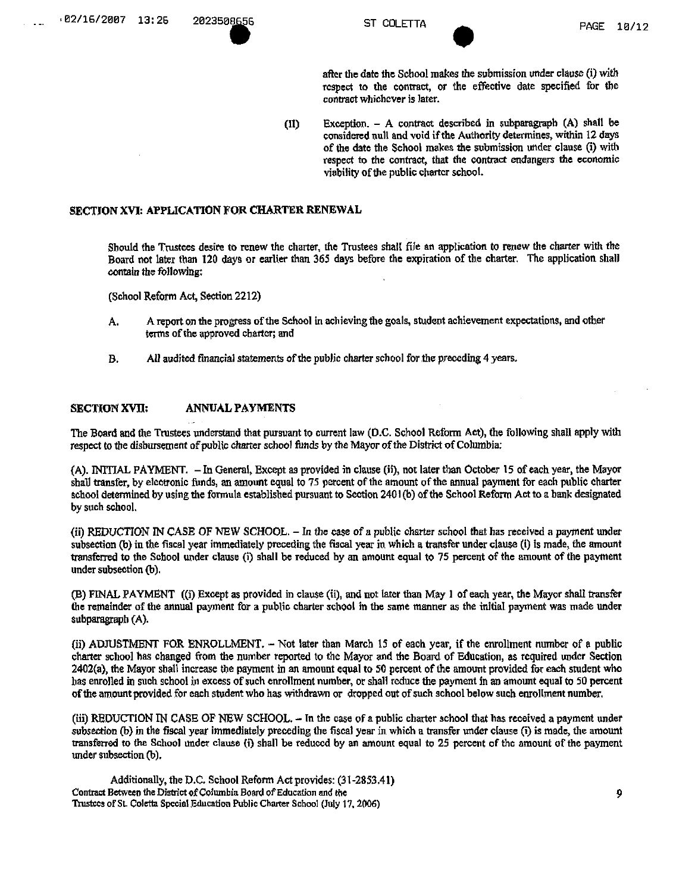after the date the School makes the submission under clause (i) with rcspect to the contract, *or* the effective date specified for the contract whichever is later.

(11) Exception. - A contract described in subparagraph (A) shall be considered null and void if the Authority determines, within 12 days of the date the School makes the submission under clause (i) with respect to the contract, that the contract endangers die economic viability of the public charter school.

# SECTION XVI: APPLICATION FOR CHARTER RENEWAL

Should the Trustees desire to renew the charter, the Trustees shall file an application to renew the charter with the Board not later than 120 days or earlier than 365 days before the expiration of the charter. The application shal) contain the following;

(School Reform Act, Section 2212)

- A. A report on the progress of the School in achieving the goals, student achievement expectations, and other terms of the approved charter; and
- B. AU audited financial statements of the public charter school for the preceding 4 years.

# SECTION XVII; ANNUAL PAYMENTS

The Board and the Trustees understand that pursuant to current law (D.C. School Reform Act), the following shall apply with respect to the disbursement of public charter school funds by the Mayor of the District of Columbia;

(A). INITIAL PAYMENT. - In General, Except as provided in clause (ii), not later than October 15 of each year, the Mayor shal) transfer, by electronic funds, an amount equal to 75 percent of the amount of the annual payment for each public charter school determined by using the formula established pursuant to Scction 2401 (b) of the School Reform Act to a bank designated by such school,

(ii) REDUCTION IN CASE OF NEW SCHOOL. - In the case of a public charter school that has received a payment under subsection (b) in the fiscal year immediately preceding the fiscal year in which a transfer under clause (i) is made, the amount transferred to the School under clause (i) shall be reduced by an amount equal to 75 percent of the amount of the payment under subsection (b),

(B) FINAL PAYMENT ((i) Except as provided in clause (ii), and not later than May 1 of each year, the Mayor shall transfer the remainder of the annual payment for a public charter school in the same manner as the initial payment was made under subparagraph (A).

(ii) ADJUSTMENT FOR ENROLLMENT. - Not iater than March 15 of each year, if the enrollment number of a public charter school has changed from the number reported to the Mayor and the Board of Education, as required under Section 2402(a), the Mayor shall increase the payment in an amount equal to 50 percent of the amount provided for each student who has enrolled in such school in excess of such enrollment number, or shall reduce the payment in an amount equal to 50 percent of the amount provided for each student who has withdrawn or dropped out of such school below such enrollment number,

(iii) REDUCTION IN CASE OF NEW SCHOOL. - In the case of a public charter school that has received a payment under subsection (b) in the fiscal year immediately preceding the fiscal year in which a transfer under clause (i) is made, the amount transferred to the School under clause (i) shall be reduccd by an amount equal to 25 percent of the amount of the payment under subsection (b).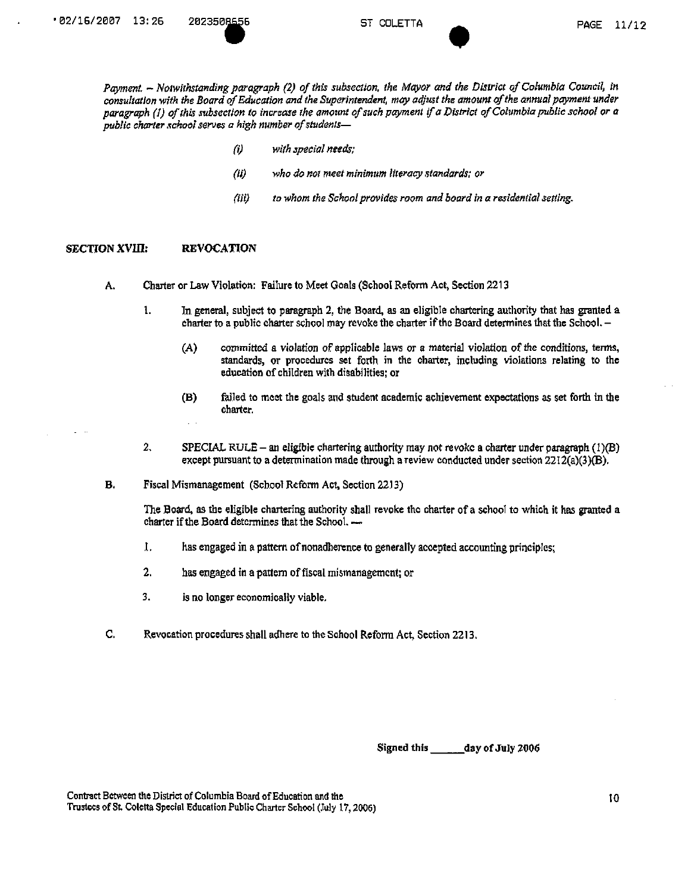Payment. ~ Notwithstanding paragraph (2) of this subsection, the Mayor and the District of Columbia Council, in *consultation with the Board of Education and the Superintendent, may adjust the amount of the annual payment under paragraph (1) of this subsection to increase the amount of such payment if a District of Columbia public school or a public charter school serves a high number of students—* 

- *(i) with special needs;*
- *(it) who do not meet minimum literacy standards; or*
- *(Hi) to whom the School provides room and board in a residential setting.*

#### SECTION XVIII: REVOCATION

- A. Charter or Law Violation: Failure to Meet Goals (School Reform Act, Section 2213
	- 1. In general, subject to paragraph 2, the Board, as an eligible chartering authority that has granted a charter to a public charter school may revoke the charter if the Board determines that the School. -
		- (A) committed a violation of applicable laws or a material violation of the conditions, terms, standards, or procedures set forth in the charter, including violations relating to the education of children with disabilities; or
		- (B) failed to meet the goals and student academic achievement expectations as set forth in the charter.
	- 2. SPECIAL RULE an eligible chartering authority may not revoke a charter under paragraph (1)(B) except pursuant to a determination made through a review conducted under section  $2212(a)(3)(B)$ .
- B, Fiscal Mismanagement (School Reform Act, Section 22,13)

The Board, as the eligible chartering authority shall revoke the charter of a school to which it has granted a charter if the Board determines that the School.

- .1. has engaged in a pattern of nonadherence to generally accepted accounting principles;
- 2. has engaged in a pattern of fiscal mismanagement; or
- 3. is no longer economically viable.
- C. Revocation procedures shall adhere to the School Reform Act, Section 2213.

Signed this \_\_\_\_\_\_ day of July 2006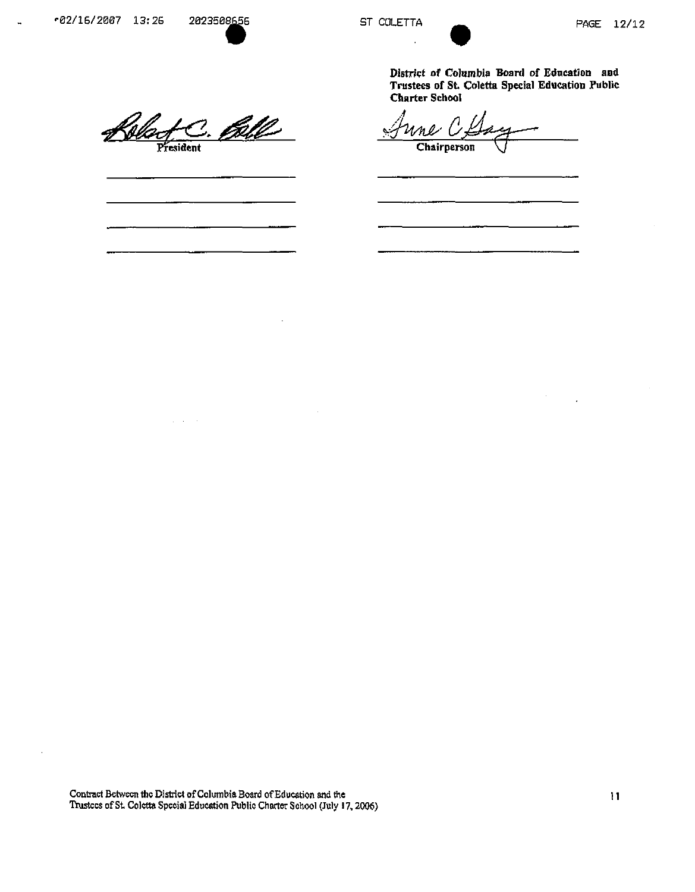$\overline{a}$ 

District of Columbia Board of Education and Trustees of St Coletta Special Education Public Charter School

 $\overline{f}$ 

Wac <u>fc. Bell</u> June CL  $\overline{\mathbb{Z}}$ 7.

 $\frac{1}{2} \left( \frac{1}{2} \right) \left( \frac{1}{2} \right)$